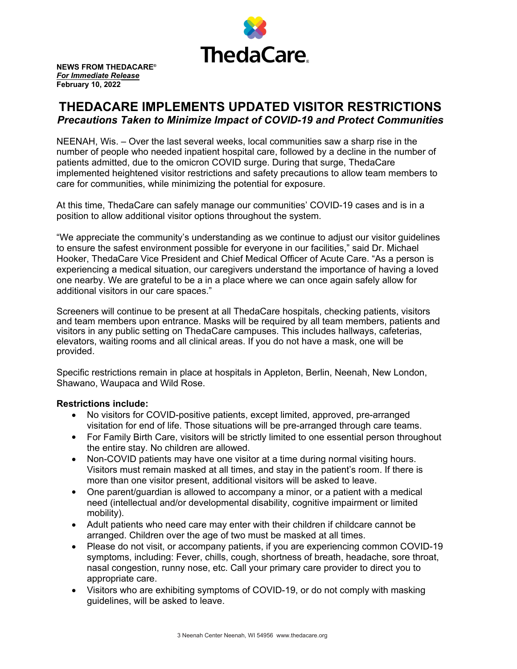

**NEWS FROM THEDACARE®** *For Immediate Release* **February 10, 2022**

## **THEDACARE IMPLEMENTS UPDATED VISITOR RESTRICTIONS** *Precautions Taken to Minimize Impact of COVID-19 and Protect Communities*

NEENAH, Wis. – Over the last several weeks, local communities saw a sharp rise in the number of people who needed inpatient hospital care, followed by a decline in the number of patients admitted, due to the omicron COVID surge. During that surge, ThedaCare implemented heightened visitor restrictions and safety precautions to allow team members to care for communities, while minimizing the potential for exposure.

At this time, ThedaCare can safely manage our communities' COVID-19 cases and is in a position to allow additional visitor options throughout the system.

"We appreciate the community's understanding as we continue to adjust our visitor guidelines to ensure the safest environment possible for everyone in our facilities," said Dr. Michael Hooker, ThedaCare Vice President and Chief Medical Officer of Acute Care. "As a person is experiencing a medical situation, our caregivers understand the importance of having a loved one nearby. We are grateful to be a in a place where we can once again safely allow for additional visitors in our care spaces."

Screeners will continue to be present at all ThedaCare hospitals, checking patients, visitors and team members upon entrance. Masks will be required by all team members, patients and visitors in any public setting on ThedaCare campuses. This includes hallways, cafeterias, elevators, waiting rooms and all clinical areas. If you do not have a mask, one will be provided.

Specific restrictions remain in place at hospitals in Appleton, Berlin, Neenah, New London, Shawano, Waupaca and Wild Rose.

## **Restrictions include:**

- No visitors for COVID-positive patients, except limited, approved, pre-arranged visitation for end of life. Those situations will be pre-arranged through care teams.
- For Family Birth Care, visitors will be strictly limited to one essential person throughout the entire stay. No children are allowed.
- Non-COVID patients may have one visitor at a time during normal visiting hours. Visitors must remain masked at all times, and stay in the patient's room. If there is more than one visitor present, additional visitors will be asked to leave.
- One parent/guardian is allowed to accompany a minor, or a patient with a medical need (intellectual and/or developmental disability, cognitive impairment or limited mobility).
- Adult patients who need care may enter with their children if childcare cannot be arranged. Children over the age of two must be masked at all times.
- Please do not visit, or accompany patients, if you are experiencing common COVID-19 symptoms, including: Fever, chills, cough, shortness of breath, headache, sore throat, nasal congestion, runny nose, etc. Call your primary care provider to direct you to appropriate care.
- Visitors who are exhibiting symptoms of COVID-19, or do not comply with masking guidelines, will be asked to leave.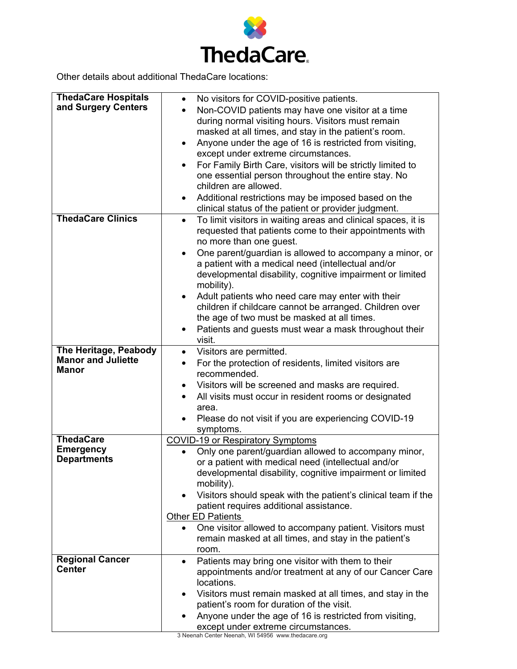

Other details about additional ThedaCare locations:

| No visitors for COVID-positive patients.<br>and Surgery Centers<br>Non-COVID patients may have one visitor at a time<br>during normal visiting hours. Visitors must remain<br>masked at all times, and stay in the patient's room.<br>Anyone under the age of 16 is restricted from visiting,<br>except under extreme circumstances.<br>For Family Birth Care, visitors will be strictly limited to |  |
|-----------------------------------------------------------------------------------------------------------------------------------------------------------------------------------------------------------------------------------------------------------------------------------------------------------------------------------------------------------------------------------------------------|--|
|                                                                                                                                                                                                                                                                                                                                                                                                     |  |
|                                                                                                                                                                                                                                                                                                                                                                                                     |  |
|                                                                                                                                                                                                                                                                                                                                                                                                     |  |
|                                                                                                                                                                                                                                                                                                                                                                                                     |  |
|                                                                                                                                                                                                                                                                                                                                                                                                     |  |
|                                                                                                                                                                                                                                                                                                                                                                                                     |  |
| one essential person throughout the entire stay. No                                                                                                                                                                                                                                                                                                                                                 |  |
| children are allowed.                                                                                                                                                                                                                                                                                                                                                                               |  |
| Additional restrictions may be imposed based on the                                                                                                                                                                                                                                                                                                                                                 |  |
| clinical status of the patient or provider judgment.                                                                                                                                                                                                                                                                                                                                                |  |
| <b>ThedaCare Clinics</b><br>To limit visitors in waiting areas and clinical spaces, it is<br>$\bullet$                                                                                                                                                                                                                                                                                              |  |
| requested that patients come to their appointments with                                                                                                                                                                                                                                                                                                                                             |  |
| no more than one guest.                                                                                                                                                                                                                                                                                                                                                                             |  |
| One parent/guardian is allowed to accompany a minor, or                                                                                                                                                                                                                                                                                                                                             |  |
| a patient with a medical need (intellectual and/or                                                                                                                                                                                                                                                                                                                                                  |  |
| developmental disability, cognitive impairment or limited                                                                                                                                                                                                                                                                                                                                           |  |
| mobility).                                                                                                                                                                                                                                                                                                                                                                                          |  |
| Adult patients who need care may enter with their                                                                                                                                                                                                                                                                                                                                                   |  |
| children if childcare cannot be arranged. Children over<br>the age of two must be masked at all times.                                                                                                                                                                                                                                                                                              |  |
|                                                                                                                                                                                                                                                                                                                                                                                                     |  |
| Patients and guests must wear a mask throughout their<br>visit.                                                                                                                                                                                                                                                                                                                                     |  |
| The Heritage, Peabody                                                                                                                                                                                                                                                                                                                                                                               |  |
| Visitors are permitted.<br>$\bullet$<br><b>Manor and Juliette</b>                                                                                                                                                                                                                                                                                                                                   |  |
| For the protection of residents, limited visitors are<br>$\bullet$<br>Manor<br>recommended.                                                                                                                                                                                                                                                                                                         |  |
|                                                                                                                                                                                                                                                                                                                                                                                                     |  |
| Visitors will be screened and masks are required.                                                                                                                                                                                                                                                                                                                                                   |  |
| All visits must occur in resident rooms or designated<br>٠<br>area.                                                                                                                                                                                                                                                                                                                                 |  |
| Please do not visit if you are experiencing COVID-19                                                                                                                                                                                                                                                                                                                                                |  |
| symptoms.                                                                                                                                                                                                                                                                                                                                                                                           |  |
| <b>ThedaCare</b><br><b>COVID-19 or Respiratory Symptoms</b>                                                                                                                                                                                                                                                                                                                                         |  |
| <b>Emergency</b><br>Only one parent/guardian allowed to accompany minor,                                                                                                                                                                                                                                                                                                                            |  |
| <b>Departments</b><br>or a patient with medical need (intellectual and/or                                                                                                                                                                                                                                                                                                                           |  |
| developmental disability, cognitive impairment or limited                                                                                                                                                                                                                                                                                                                                           |  |
| mobility).                                                                                                                                                                                                                                                                                                                                                                                          |  |
| Visitors should speak with the patient's clinical team if the                                                                                                                                                                                                                                                                                                                                       |  |
| patient requires additional assistance.                                                                                                                                                                                                                                                                                                                                                             |  |
| <b>Other ED Patients</b>                                                                                                                                                                                                                                                                                                                                                                            |  |
| One visitor allowed to accompany patient. Visitors must                                                                                                                                                                                                                                                                                                                                             |  |
| remain masked at all times, and stay in the patient's                                                                                                                                                                                                                                                                                                                                               |  |
| room.                                                                                                                                                                                                                                                                                                                                                                                               |  |
| <b>Regional Cancer</b><br>Patients may bring one visitor with them to their<br>$\bullet$                                                                                                                                                                                                                                                                                                            |  |
| <b>Center</b><br>appointments and/or treatment at any of our Cancer Care                                                                                                                                                                                                                                                                                                                            |  |
| locations.                                                                                                                                                                                                                                                                                                                                                                                          |  |
| Visitors must remain masked at all times, and stay in the                                                                                                                                                                                                                                                                                                                                           |  |
| patient's room for duration of the visit.                                                                                                                                                                                                                                                                                                                                                           |  |
| Anyone under the age of 16 is restricted from visiting,                                                                                                                                                                                                                                                                                                                                             |  |
| except under extreme circumstances.<br>3 Neenah Center Neenah WI 54956 MMM thedacar                                                                                                                                                                                                                                                                                                                 |  |